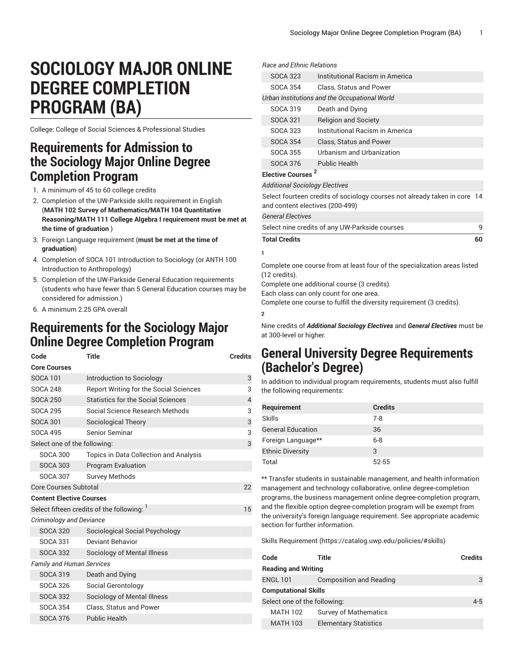## **SOCIOLOGY MAJOR ONLINE DEGREE COMPLETION PROGRAM (BA)**

College: College of Social Sciences & Professional Studies

## **Requirements for Admission to the Sociology Major Online Degree Completion Program**

- 1. A minimum of 45 to 60 college credits
- 2. Completion of the UW-Parkside skills requirement in English (**MATH 102 Survey of Mathematics/MATH 104 Quantitative Reasoning/MATH 111 College Algebra I requirement must be met at the time of graduation** )
- 3. Foreign Language requirement (**must be met at the time of graduation**)
- 4. Completion of SOCA 101 Introduction to Sociology (or ANTH 100 Introduction to Anthropology)
- 5. Completion of the UW-Parkside General Education requirements (students who have fewer than 5 General Education courses may be considered for admission.)
- 6. A minimum 2.25 GPA overall

## **Requirements for the Sociology Major Online Degree Completion Program**

|                                    | Code                                           | Title                                         | <b>Credits</b>           |  |
|------------------------------------|------------------------------------------------|-----------------------------------------------|--------------------------|--|
|                                    | <b>Core Courses</b>                            |                                               |                          |  |
|                                    | <b>SOCA 101</b>                                | Introduction to Sociology                     | 3                        |  |
|                                    | <b>SOCA 248</b>                                | <b>Report Writing for the Social Sciences</b> | 3                        |  |
|                                    | <b>SOCA 250</b>                                | <b>Statistics for the Social Sciences</b>     | $\overline{\mathcal{A}}$ |  |
|                                    | <b>SOCA 295</b>                                | Social Science Research Methods               | 3                        |  |
|                                    | <b>SOCA 301</b>                                | <b>Sociological Theory</b>                    | 3                        |  |
|                                    | <b>SOCA 495</b>                                | Senior Seminar                                | 3                        |  |
| Select one of the following:       |                                                |                                               |                          |  |
|                                    | SOCA 300                                       | Topics in Data Collection and Analysis        |                          |  |
|                                    | <b>SOCA 303</b>                                | <b>Program Evaluation</b>                     |                          |  |
|                                    | <b>SOCA 307</b>                                | <b>Survey Methods</b>                         |                          |  |
| <b>Core Courses Subtotal</b><br>22 |                                                |                                               |                          |  |
|                                    | <b>Content Elective Courses</b>                |                                               |                          |  |
|                                    | Select fifteen credits of the following:<br>15 |                                               |                          |  |
|                                    | <b>Criminology and Deviance</b>                |                                               |                          |  |
|                                    | SOCA 320                                       | Sociological Social Psychology                |                          |  |
|                                    | SOCA 331                                       | Deviant Behavior                              |                          |  |
|                                    | <b>SOCA 332</b>                                | Sociology of Mental Illness                   |                          |  |
|                                    | <b>Family and Human Services</b>               |                                               |                          |  |
|                                    | <b>SOCA 319</b>                                | Death and Dying                               |                          |  |
|                                    | <b>SOCA 326</b>                                | Social Gerontology                            |                          |  |
|                                    | <b>SOCA 332</b>                                | Sociology of Mental Illness                   |                          |  |
|                                    | <b>SOCA 354</b>                                | <b>Class. Status and Power</b>                |                          |  |
|                                    | <b>SOCA 376</b>                                | <b>Public Health</b>                          |                          |  |
|                                    |                                                |                                               |                          |  |

|                                                                                                              | <b>Bace and Ethnic Belations</b> |                                               |    |
|--------------------------------------------------------------------------------------------------------------|----------------------------------|-----------------------------------------------|----|
|                                                                                                              | <b>SOCA 323</b>                  | Institutional Racism in America               |    |
|                                                                                                              | SOCA 354                         | Class, Status and Power                       |    |
|                                                                                                              |                                  | Urban Institutions and the Occupational World |    |
|                                                                                                              | SOCA 319                         | Death and Dying                               |    |
|                                                                                                              | <b>SOCA 321</b>                  | <b>Religion and Society</b>                   |    |
|                                                                                                              | SOCA 323                         | Institutional Racism in America               |    |
|                                                                                                              | <b>SOCA 354</b>                  | Class, Status and Power                       |    |
|                                                                                                              | SOCA 355                         | Urbanism and Urbanization                     |    |
|                                                                                                              | <b>SOCA 376</b>                  | <b>Public Health</b>                          |    |
| Elective Courses <sup>2</sup>                                                                                |                                  |                                               |    |
| <b>Additional Sociology Electives</b>                                                                        |                                  |                                               |    |
| Select fourteen credits of sociology courses not already taken in core 14<br>and content electives (200-499) |                                  |                                               |    |
| <b>General Electives</b>                                                                                     |                                  |                                               |    |
| Select nine credits of any UW-Parkside courses                                                               |                                  |                                               | q  |
|                                                                                                              | <b>Total Credits</b>             |                                               | 60 |
|                                                                                                              | 1                                |                                               |    |

Complete one course from at least four of the specialization areas listed (12 credits).

Complete one additional course (3 credits).

Each class can only count for one area.

Complete one course to fulfill the diversity requirement (3 credits).

**2**

Nine credits of *Additional Sociology Electives* and *General Electives* must be at 300-level or higher.

## **General University Degree Requirements (Bachelor's Degree)**

In addition to individual program requirements, students must also fulfill the following requirements:

| Requirement              | <b>Credits</b> |
|--------------------------|----------------|
| <b>Skills</b>            | $7-8$          |
| <b>General Education</b> | 36             |
| Foreign Language**       | $6 - 8$        |
| <b>Ethnic Diversity</b>  | 3              |
| Total                    | $52 - 55$      |

\*\* Transfer students in sustainable management, and health information management and technology collaborative, online degree-completion programs, the business management online degree-completion program, and the flexible option degree-completion program will be exempt from the university's foreign language requirement. See appropriate academic section for further information.

Skills [Requirement \(https://catalog.uwp.edu/policies/#skills](https://catalog.uwp.edu/policies/#skills))

| Code                         | Title                          | <b>Credits</b> |
|------------------------------|--------------------------------|----------------|
| <b>Reading and Writing</b>   |                                |                |
| <b>ENGL 101</b>              | <b>Composition and Reading</b> | 3              |
| <b>Computational Skills</b>  |                                |                |
| Select one of the following: |                                | $4 - 5$        |
| <b>MATH 102</b>              | <b>Survey of Mathematics</b>   |                |
| <b>MATH 103</b>              | <b>Elementary Statistics</b>   |                |